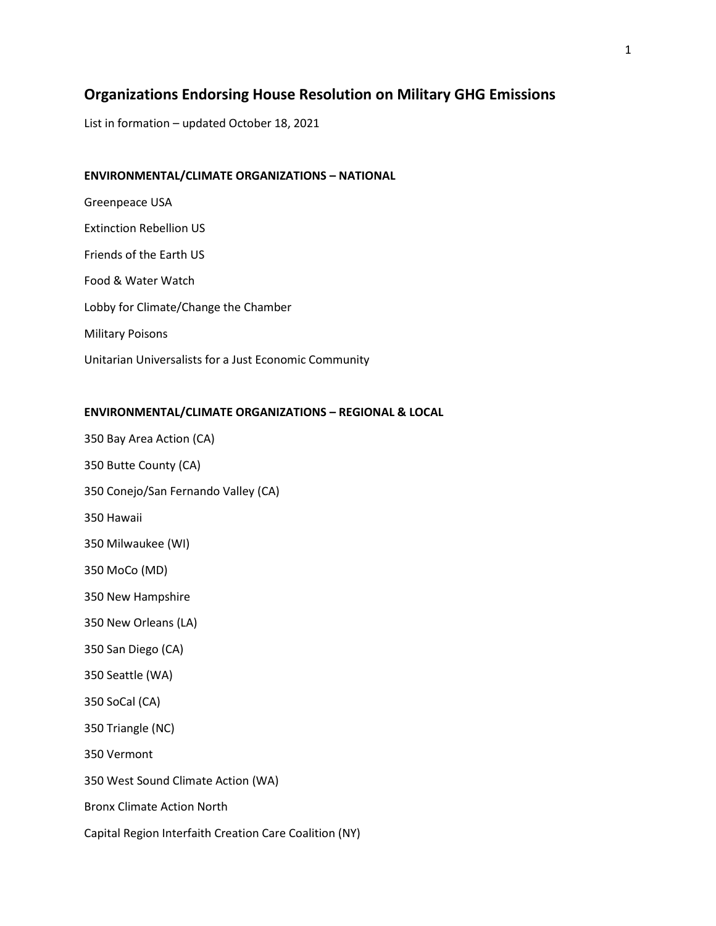# **Organizations Endorsing House Resolution on Military GHG Emissions**

List in formation – updated October 18, 2021

### **ENVIRONMENTAL/CLIMATE ORGANIZATIONS – NATIONAL**

Greenpeace USA Extinction Rebellion US Friends of the Earth US Food & Water Watch Lobby for Climate/Change the Chamber Military Poisons Unitarian Universalists for a Just Economic Community

### **ENVIRONMENTAL/CLIMATE ORGANIZATIONS – REGIONAL & LOCAL**

350 Bay Area Action (CA) 350 Butte County (CA) 350 Conejo/San Fernando Valley (CA) 350 Hawaii 350 Milwaukee (WI) 350 MoCo (MD) 350 New Hampshire 350 New Orleans (LA) 350 San Diego (CA) 350 Seattle (WA) 350 SoCal (CA) 350 Triangle (NC) 350 Vermont 350 West Sound Climate Action (WA) Bronx Climate Action North Capital Region Interfaith Creation Care Coalition (NY)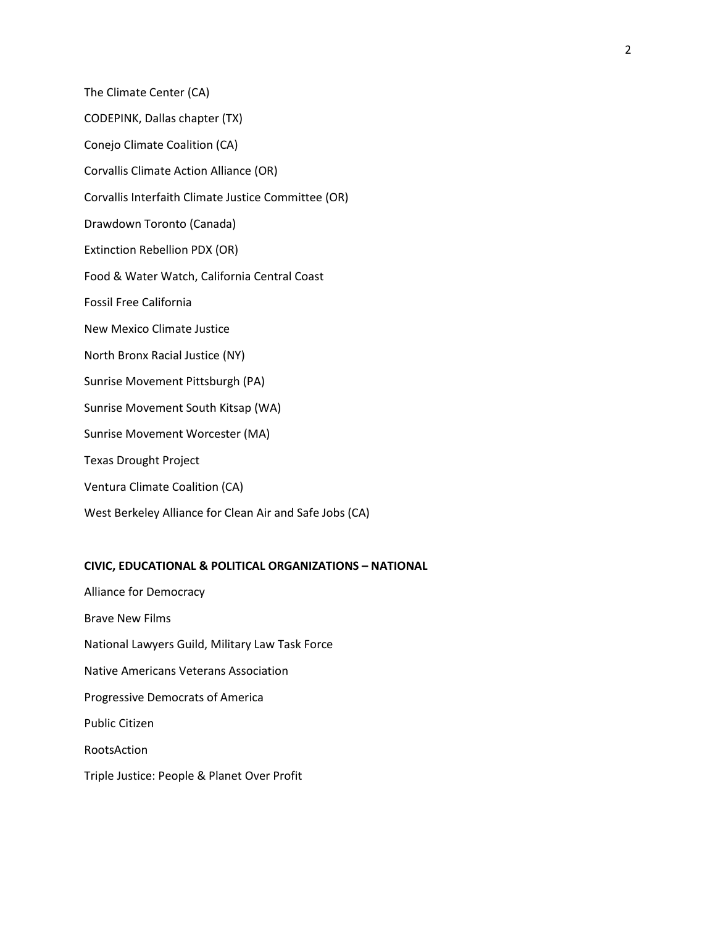The Climate Center (CA) CODEPINK, Dallas chapter (TX) Conejo Climate Coalition (CA) Corvallis Climate Action Alliance (OR) Corvallis Interfaith Climate Justice Committee (OR) Drawdown Toronto (Canada) Extinction Rebellion PDX (OR) Food & Water Watch, California Central Coast Fossil Free California New Mexico Climate Justice North Bronx Racial Justice (NY) Sunrise Movement Pittsburgh (PA) Sunrise Movement South Kitsap (WA) Sunrise Movement Worcester (MA) Texas Drought Project Ventura Climate Coalition (CA) West Berkeley Alliance for Clean Air and Safe Jobs (CA)

## **CIVIC, EDUCATIONAL & POLITICAL ORGANIZATIONS – NATIONAL**

Alliance for Democracy Brave New Films National Lawyers Guild, Military Law Task Force Native Americans Veterans Association Progressive Democrats of America Public Citizen RootsAction Triple Justice: People & Planet Over Profit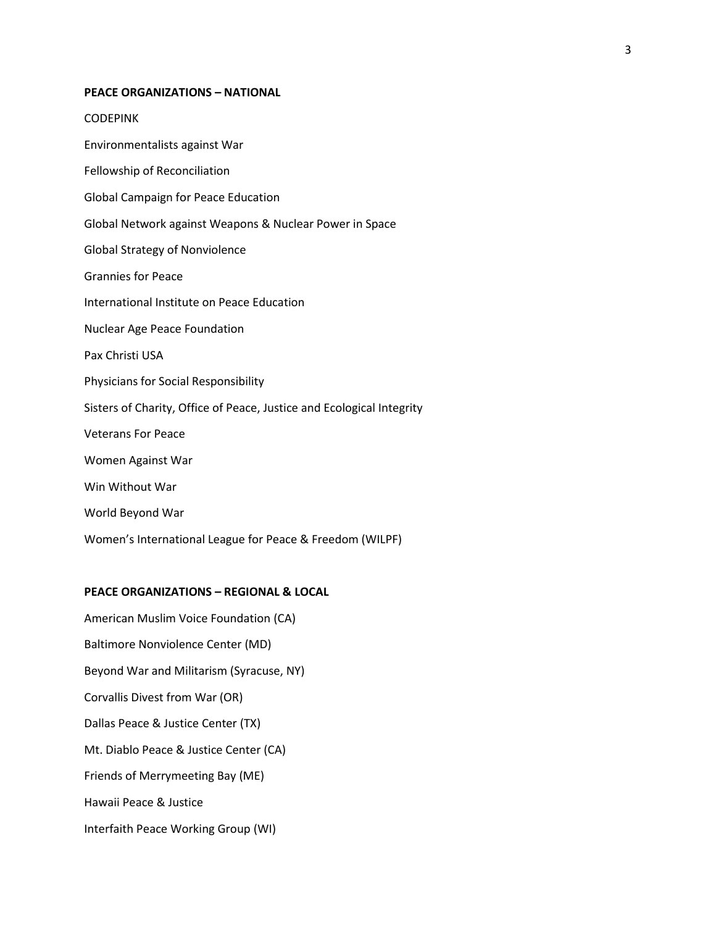#### **PEACE ORGANIZATIONS – NATIONAL**

**CODEPINK** 

Environmentalists against War

Fellowship of Reconciliation

Global Campaign for Peace Education

Global Network against Weapons & Nuclear Power in Space

Global Strategy of Nonviolence

Grannies for Peace

International Institute on Peace Education

Nuclear Age Peace Foundation

Pax Christi USA

Physicians for Social Responsibility

Sisters of Charity, Office of Peace, Justice and Ecological Integrity

Veterans For Peace

Women Against War

Win Without War

World Beyond War

Women's International League for Peace & Freedom (WILPF)

#### **PEACE ORGANIZATIONS – REGIONAL & LOCAL**

American Muslim Voice Foundation (CA) Baltimore Nonviolence Center (MD) Beyond War and Militarism (Syracuse, NY) Corvallis Divest from War (OR) Dallas Peace & Justice Center (TX) Mt. Diablo Peace & Justice Center (CA) Friends of Merrymeeting Bay (ME) Hawaii Peace & Justice Interfaith Peace Working Group (WI)